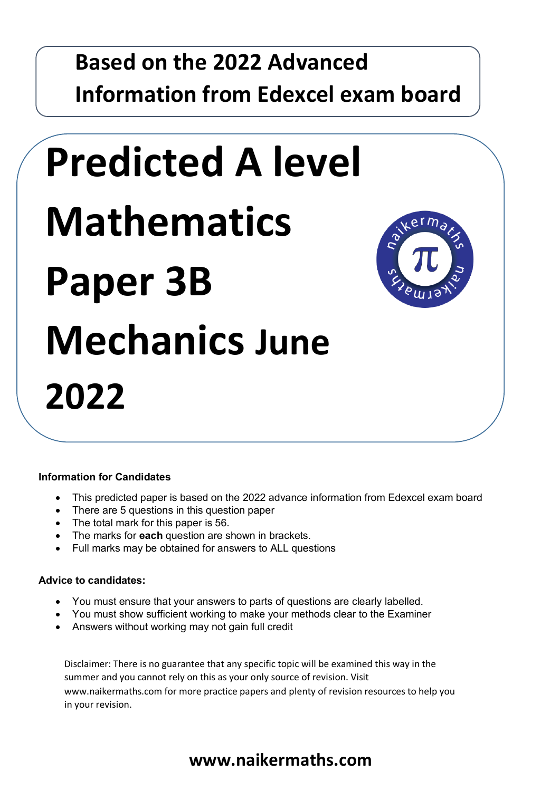# **Based on the 2022 Advanced Information from Edexcel exam board**

# **Predicted A level Mathematics Paper 3B Mechanics June 2022**



#### **Information for Candidates**

**Set B**

- **•** This predicted paper is based on the 2022 advance information from Edexcel exam board
	- There are 5 questions in this question paper
	- The total mark for this paper is 56.
	- The marks for **each** question are shown in brackets.
	- Full marks may be obtained for answers to ALL questions

#### **Advice to candidates:**

- You must ensure that your answers to parts of questions are clearly labelled.
- You must show sufficient working to make your methods clear to the Examiner
- Answers without working may not gain full credit

Disclaimer: There is no guarantee that any specific topic will be examined this way in the summer and you cannot rely on this as your only source of revision. Visit www.naikermaths.com for more practice papers and plenty of revision resources to help you in your revision.

# **www.naikermaths.com**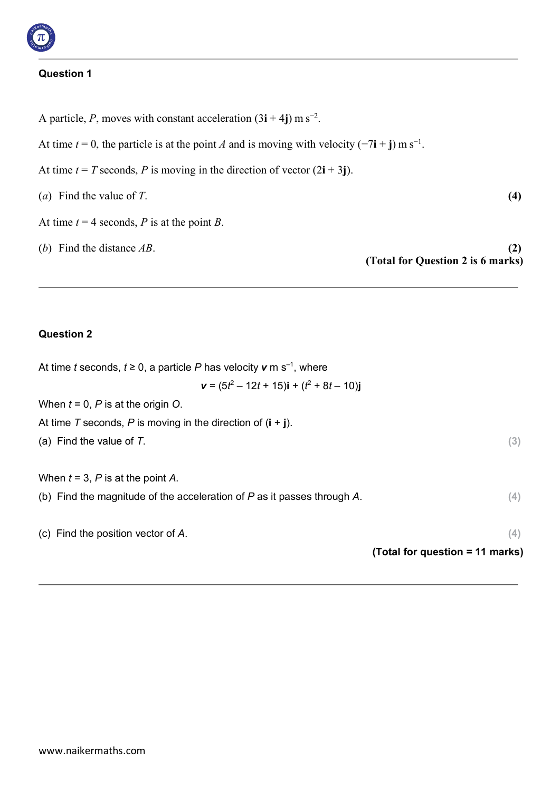#### **Question 1**

A particle, *P*, moves with constant acceleration  $(3i + 4j)$  m s<sup>-2</sup>. At time  $t = 0$ , the particle is at the point *A* and is moving with velocity ( $-7\mathbf{i} + \mathbf{j}$ ) m s<sup>-1</sup>. At time  $t = T$  seconds, P is moving in the direction of vector  $(2i + 3j)$ . (*a*) Find the value of *T*. **(4)** At time  $t = 4$  seconds, *P* is at the point *B*. (*b*) Find the distance *AB*. **(2) (Total for Question 2 is 6 marks)**

#### **Question 2**

| At time t seconds, $t \ge 0$ , a particle P has velocity $v \text{ m s}^{-1}$ , where |                                 |
|---------------------------------------------------------------------------------------|---------------------------------|
| $\mathbf{v} = (5t^2 - 12t + 15)\mathbf{i} + (t^2 + 8t - 10)\mathbf{j}$                |                                 |
| When $t = 0$ , P is at the origin O.                                                  |                                 |
| At time T seconds, P is moving in the direction of $(i + j)$ .                        |                                 |
| (a) Find the value of $T$ .                                                           | (3)                             |
|                                                                                       |                                 |
| When $t = 3$ , P is at the point A.                                                   |                                 |
| (b) Find the magnitude of the acceleration of $P$ as it passes through $A$ .          | (4)                             |
|                                                                                       |                                 |
| (c) Find the position vector of $A$ .                                                 | (4)                             |
|                                                                                       | (Total for question = 11 marks) |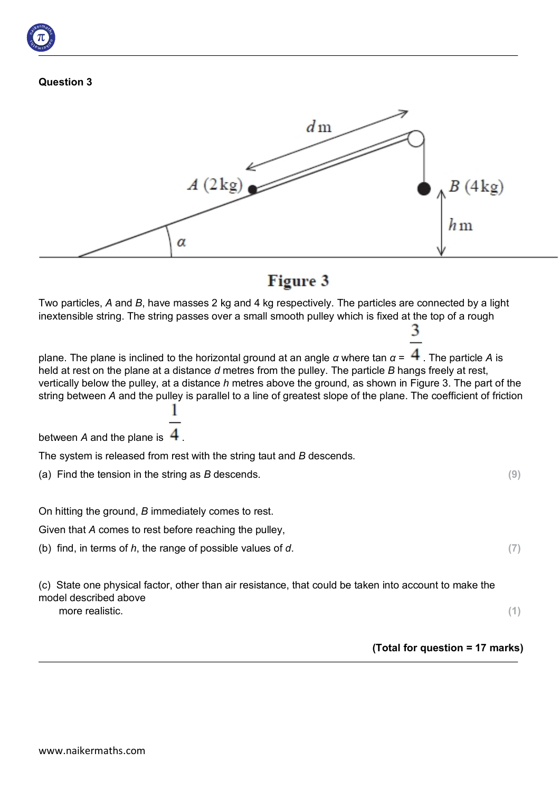



### Figure 3

Two particles, *A* and *B*, have masses 2 kg and 4 kg respectively. The particles are connected by a light inextensible string. The string passes over a small smooth pulley which is fixed at the top of a rough

plane. The plane is inclined to the horizontal ground at an angle *α* where tan  $\alpha = \frac{4}{3}$ . The particle A is held at rest on the plane at a distance *d* metres from the pulley. The particle *B* hangs freely at rest, vertically below the pulley, at a distance *h* metres above the ground, as shown in Figure 3. The part of the string between *A* and the pulley is parallel to a line of greatest slope of the plane. The coefficient of friction

between  $A$  and the plane is  $\overline{4}$ .

The system is released from rest with the string taut and *B* descends.

(a) Find the tension in the string as *B* descends. **(9)**

On hitting the ground, *B* immediately comes to rest.

Given that *A* comes to rest before reaching the pulley,

(b) find, in terms of *h*, the range of possible values of *d*. **(7)**

(c) State one physical factor, other than air resistance, that could be taken into account to make the model described above more realistic. (1)

**(Total for question = 17 marks)**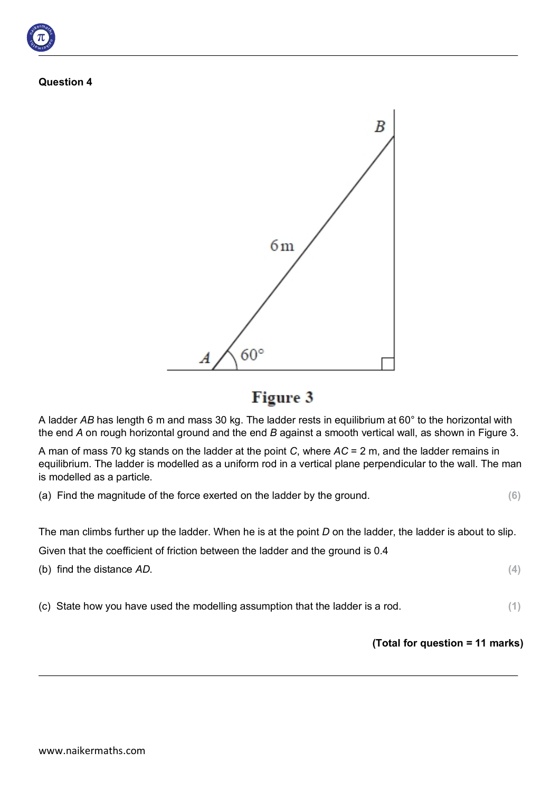**Question 4**



Figure 3

A ladder *AB* has length 6 m and mass 30 kg. The ladder rests in equilibrium at 60° to the horizontal with the end *A* on rough horizontal ground and the end *B* against a smooth vertical wall, as shown in Figure 3.

A man of mass 70 kg stands on the ladder at the point *C*, where *AC* = 2 m, and the ladder remains in equilibrium. The ladder is modelled as a uniform rod in a vertical plane perpendicular to the wall. The man is modelled as a particle.

(a) Find the magnitude of the force exerted on the ladder by the ground. **(6)**

The man climbs further up the ladder. When he is at the point *D* on the ladder, the ladder is about to slip.

Given that the coefficient of friction between the ladder and the ground is 0.4

| (b) find the distance AD. |
|---------------------------|
|---------------------------|

(c) State how you have used the modelling assumption that the ladder is a rod. **(1)**

#### **(Total for question = 11 marks)**